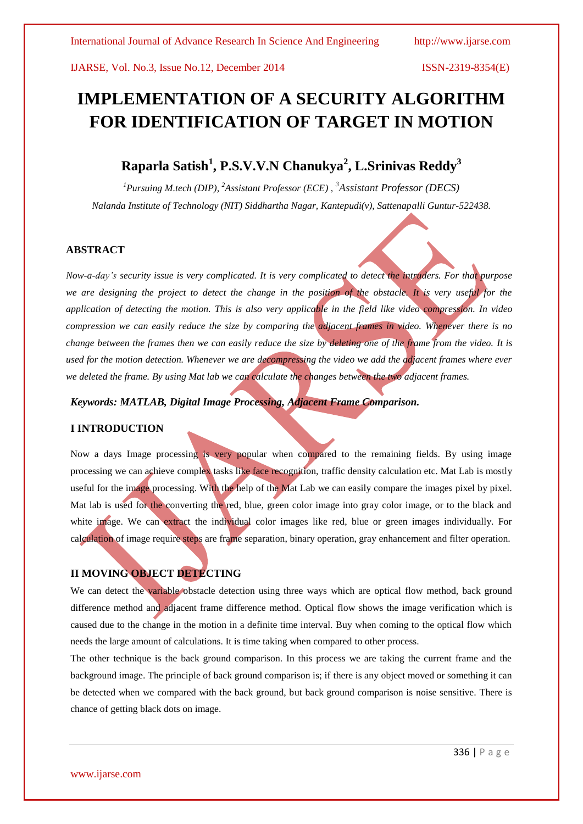# **IMPLEMENTATION OF A SECURITY ALGORITHM FOR IDENTIFICATION OF TARGET IN MOTION**

## **Raparla Satish<sup>1</sup> , P.S.V.V.N Chanukya<sup>2</sup> , L.Srinivas Reddy<sup>3</sup>**

*<sup>1</sup>Pursuing M.tech (DIP), <sup>2</sup>Assistant Professor (ECE) , <sup>3</sup>Assistant Professor (DECS) Nalanda Institute of Technology (NIT) Siddhartha Nagar, Kantepudi(v), Sattenapalli Guntur-522438.*

#### **ABSTRACT**

*Now-a-day's security issue is very complicated. It is very complicated to detect the intruders. For that purpose*  we are designing the project to detect the change in the position of the obstacle. It is very useful for the *application of detecting the motion. This is also very applicable in the field like video compression. In video compression we can easily reduce the size by comparing the adjacent frames in video. Whenever there is no change between the frames then we can easily reduce the size by deleting one of the frame from the video. It is used for the motion detection. Whenever we are decompressing the video we add the adjacent frames where ever we deleted the frame. By using Mat lab we can calculate the changes between the two adjacent frames.*

*Keywords: MATLAB, Digital Image Processing, Adjacent Frame Comparison.*

#### **I INTRODUCTION**

Now a days Image processing is very popular when compared to the remaining fields. By using image processing we can achieve complex tasks like face recognition, traffic density calculation etc. Mat Lab is mostly useful for the image processing. With the help of the Mat Lab we can easily compare the images pixel by pixel. Mat lab is used for the converting the red, blue, green color image into gray color image, or to the black and white image. We can extract the individual color images like red, blue or green images individually. For calculation of image require steps are frame separation, binary operation, gray enhancement and filter operation.

### **II MOVING OBJECT DETECTING**

We can detect the variable obstacle detection using three ways which are optical flow method, back ground difference method and adjacent frame difference method. Optical flow shows the image verification which is caused due to the change in the motion in a definite time interval. Buy when coming to the optical flow which needs the large amount of calculations. It is time taking when compared to other process.

The other technique is the back ground comparison. In this process we are taking the current frame and the background image. The principle of back ground comparison is; if there is any object moved or something it can be detected when we compared with the back ground, but back ground comparison is noise sensitive. There is chance of getting black dots on image.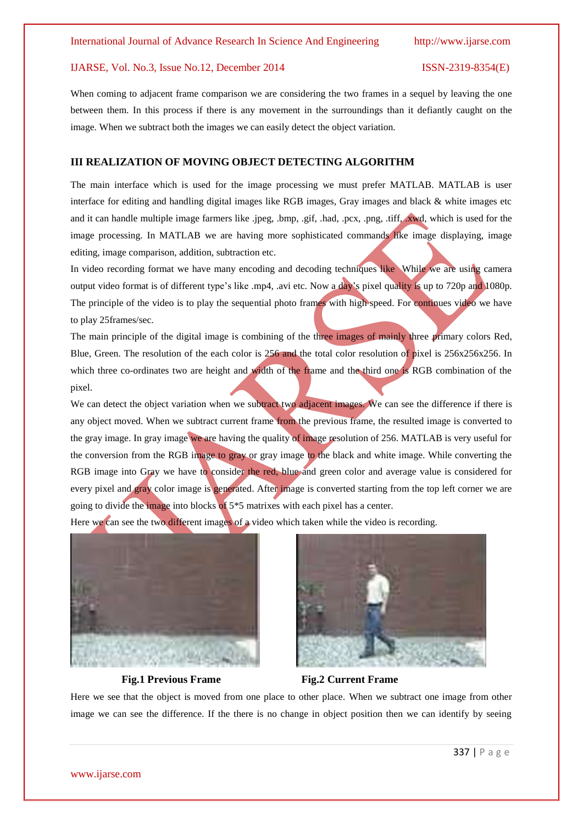When coming to adjacent frame comparison we are considering the two frames in a sequel by leaving the one between them. In this process if there is any movement in the surroundings than it defiantly caught on the image. When we subtract both the images we can easily detect the object variation.

#### **III REALIZATION OF MOVING OBJECT DETECTING ALGORITHM**

The main interface which is used for the image processing we must prefer MATLAB. MATLAB is user interface for editing and handling digital images like RGB images, Gray images and black & white images etc and it can handle multiple image farmers like .jpeg, .bmp, .gif, .had, .pcx, .png, .tiff, .xwd, which is used for the image processing. In MATLAB we are having more sophisticated commands like image displaying, image editing, image comparison, addition, subtraction etc.

In video recording format we have many encoding and decoding techniques like While we are using camera output video format is of different type's like .mp4, .avi etc. Now a day's pixel quality is up to 720p and 1080p. The principle of the video is to play the sequential photo frames with high speed. For continues video we have to play 25frames/sec.

The main principle of the digital image is combining of the three images of mainly three primary colors Red, Blue, Green. The resolution of the each color is 256 and the total color resolution of pixel is 256x256x256. In which three co-ordinates two are height and width of the frame and the third one is RGB combination of the pixel.

We can detect the object variation when we subtract two adjacent images. We can see the difference if there is any object moved. When we subtract current frame from the previous frame, the resulted image is converted to the gray image. In gray image we are having the quality of image resolution of 256. MATLAB is very useful for the conversion from the RGB image to gray or gray image to the black and white image. While converting the RGB image into Gray we have to consider the red, blue and green color and average value is considered for every pixel and gray color image is generated. After image is converted starting from the top left corner we are going to divide the image into blocks of  $5*5$  matrixes with each pixel has a center.

Here we can see the two different images of a video which taken while the video is recording.





#### **Fig.1 Previous Frame Fig.2 Current Frame**

Here we see that the object is moved from one place to other place. When we subtract one image from other image we can see the difference. If the there is no change in object position then we can identify by seeing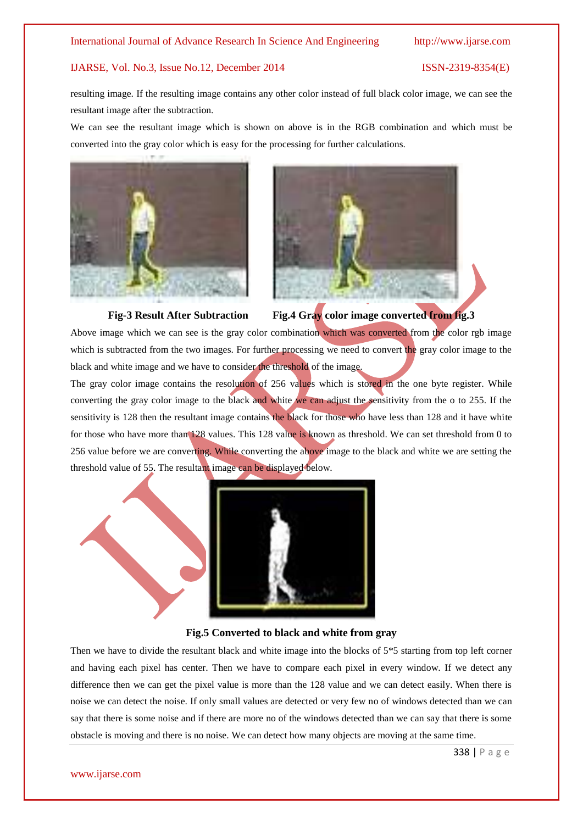resulting image. If the resulting image contains any other color instead of full black color image, we can see the resultant image after the subtraction.

We can see the resultant image which is shown on above is in the RGB combination and which must be converted into the gray color which is easy for the processing for further calculations.





**Fig-3 Result After Subtraction Fig.4 Gray color image converted from fig.3**

Above image which we can see is the gray color combination which was converted from the color rgb image which is subtracted from the two images. For further processing we need to convert the gray color image to the black and white image and we have to consider the threshold of the image.

The gray color image contains the resolution of 256 values which is stored in the one byte register. While converting the gray color image to the black and white we can adjust the sensitivity from the o to 255. If the sensitivity is 128 then the resultant image contains the black for those who have less than 128 and it have white for those who have more than 128 values. This 128 value is known as threshold. We can set threshold from 0 to 256 value before we are converting. While converting the above image to the black and white we are setting the threshold value of 55. The resultant image can be displayed below.



#### **Fig.5 Converted to black and white from gray**

Then we have to divide the resultant black and white image into the blocks of 5\*5 starting from top left corner and having each pixel has center. Then we have to compare each pixel in every window. If we detect any difference then we can get the pixel value is more than the 128 value and we can detect easily. When there is noise we can detect the noise. If only small values are detected or very few no of windows detected than we can say that there is some noise and if there are more no of the windows detected than we can say that there is some obstacle is moving and there is no noise. We can detect how many objects are moving at the same time.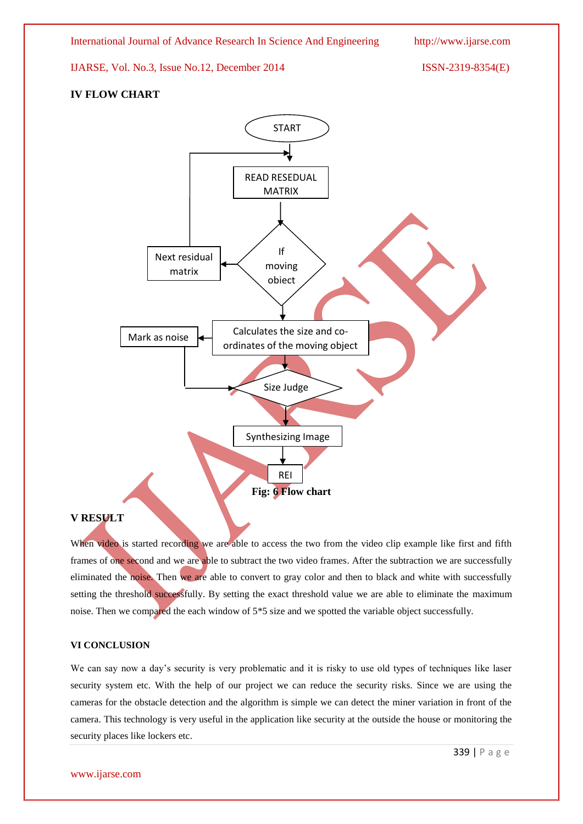### **IV FLOW CHART**



#### **V RESULT**

When video is started recording we are able to access the two from the video clip example like first and fifth frames of one second and we are able to subtract the two video frames. After the subtraction we are successfully eliminated the noise. Then we are able to convert to gray color and then to black and white with successfully setting the threshold successfully. By setting the exact threshold value we are able to eliminate the maximum noise. Then we compared the each window of 5\*5 size and we spotted the variable object successfully.

#### **VI CONCLUSION**

We can say now a day's security is very problematic and it is risky to use old types of techniques like laser security system etc. With the help of our project we can reduce the security risks. Since we are using the cameras for the obstacle detection and the algorithm is simple we can detect the miner variation in front of the camera. This technology is very useful in the application like security at the outside the house or monitoring the security places like lockers etc.